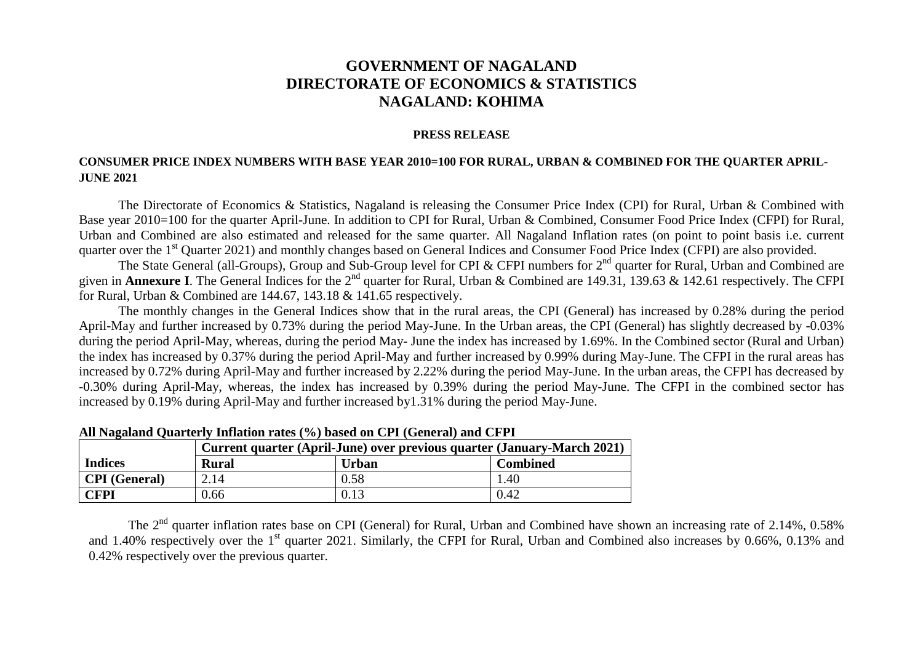## **GOVERNMENT OF NAGALAND DIRECTORATE OF ECONOMICS & STATISTICS NAGALAND: KOHIMA**

## **PRESS RELEASE**

## **CONSUMER PRICE INDEX NUMBERS WITH BASE YEAR 2010=100 FOR RURAL, URBAN & COMBINED FOR THE QUARTER APRIL-JUNE 2021**

The Directorate of Economics & Statistics, Nagaland is releasing the Consumer Price Index (CPI) for Rural, Urban & Combined with Base year 2010=100 for the quarter April-June. In addition to CPI for Rural, Urban & Combined, Consumer Food Price Index (CFPI) for Rural, Urban and Combined are also estimated and released for the same quarter. All Nagaland Inflation rates (on point to point basis i.e. current quarter over the 1<sup>st</sup> Quarter 2021) and monthly changes based on General Indices and Consumer Food Price Index (CFPI) are also provided.

The State General (all-Groups), Group and Sub-Group level for CPI & CFPI numbers for 2<sup>nd</sup> quarter for Rural, Urban and Combined are given in **Annexure I**. The General Indices for the 2<sup>nd</sup> quarter for Rural, Urban & Combined are 149.31, 139.63 & 142.61 respectively. The CFPI for Rural, Urban & Combined are 144.67, 143.18 & 141.65 respectively.

The monthly changes in the General Indices show that in the rural areas, the CPI (General) has increased by 0.28% during the period April-May and further increased by 0.73% during the period May-June. In the Urban areas, the CPI (General) has slightly decreased by -0.03% during the period April-May, whereas, during the period May- June the index has increased by 1.69%. In the Combined sector (Rural and Urban) the index has increased by 0.37% during the period April-May and further increased by 0.99% during May-June. The CFPI in the rural areas has increased by 0.72% during April-May and further increased by 2.22% during the period May-June. In the urban areas, the CFPI has decreased by -0.30% during April-May, whereas, the index has increased by 0.39% during the period May-June. The CFPI in the combined sector has increased by 0.19% during April-May and further increased by1.31% during the period May-June.

|                      | Current quarter (April-June) over previous quarter (January-March 2021) |              |                 |
|----------------------|-------------------------------------------------------------------------|--------------|-----------------|
| <b>Indices</b>       | <b>Rural</b>                                                            | <b>Urban</b> | <b>Combined</b> |
| <b>CPI</b> (General) | 2.14                                                                    | 0.58         | 1.40            |
| CFPI                 | 0.66                                                                    | 0.13         | 0.42            |

**All Nagaland Quarterly Inflation rates (%) based on CPI (General) and CFPI**

The 2<sup>nd</sup> quarter inflation rates base on CPI (General) for Rural, Urban and Combined have shown an increasing rate of 2.14%, 0.58% and 1.40% respectively over the 1<sup>st</sup> quarter 2021. Similarly, the CFPI for Rural, Urban and Combined also increases by 0.66%, 0.13% and 0.42% respectively over the previous quarter.